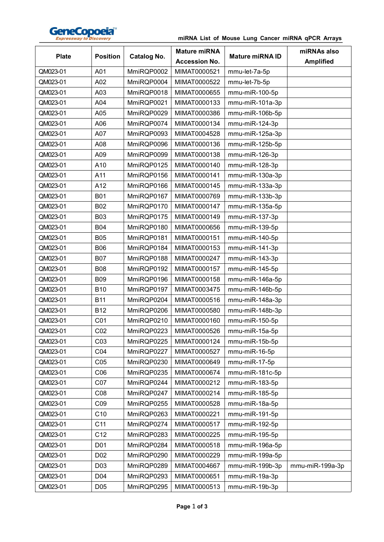

## **miRNA List of Mouse Lung Cancer miRNA qPCR Arrays**

| <b>Plate</b> | <b>Position</b> | <b>Catalog No.</b> | <b>Mature miRNA</b><br><b>Accession No.</b> | <b>Mature miRNA ID</b> | miRNAs also<br><b>Amplified</b> |
|--------------|-----------------|--------------------|---------------------------------------------|------------------------|---------------------------------|
| QM023-01     | A01             | MmiRQP0002         | MIMAT0000521                                | mmu-let-7a-5p          |                                 |
| QM023-01     | A02             | MmiRQP0004         | MIMAT0000522                                | mmu-let-7b-5p          |                                 |
| QM023-01     | A03             | MmiRQP0018         | MIMAT0000655                                | mmu-miR-100-5p         |                                 |
| QM023-01     | A04             | MmiRQP0021         | MIMAT0000133                                | mmu-miR-101a-3p        |                                 |
| QM023-01     | A05             | MmiRQP0029         | MIMAT0000386                                | mmu-miR-106b-5p        |                                 |
| QM023-01     | A06             | MmiRQP0074         | MIMAT0000134                                | mmu-miR-124-3p         |                                 |
| QM023-01     | A07             | MmiRQP0093         | MIMAT0004528                                | mmu-miR-125a-3p        |                                 |
| QM023-01     | A08             | MmiRQP0096         | MIMAT0000136                                | mmu-miR-125b-5p        |                                 |
| QM023-01     | A09             | MmiRQP0099         | MIMAT0000138                                | mmu-miR-126-3p         |                                 |
| QM023-01     | A10             | MmiRQP0125         | MIMAT0000140                                | mmu-miR-128-3p         |                                 |
| QM023-01     | A11             | MmiRQP0156         | MIMAT0000141                                | mmu-miR-130a-3p        |                                 |
| QM023-01     | A12             | MmiRQP0166         | MIMAT0000145                                | mmu-miR-133a-3p        |                                 |
| QM023-01     | <b>B01</b>      | MmiRQP0167         | MIMAT0000769                                | mmu-miR-133b-3p        |                                 |
| QM023-01     | <b>B02</b>      | MmiRQP0170         | MIMAT0000147                                | mmu-miR-135a-5p        |                                 |
| QM023-01     | <b>B03</b>      | MmiRQP0175         | MIMAT0000149                                | mmu-miR-137-3p         |                                 |
| QM023-01     | <b>B04</b>      | MmiRQP0180         | MIMAT0000656                                | mmu-miR-139-5p         |                                 |
| QM023-01     | <b>B05</b>      | MmiRQP0181         | MIMAT0000151                                | mmu-miR-140-5p         |                                 |
| QM023-01     | <b>B06</b>      | MmiRQP0184         | MIMAT0000153                                | mmu-miR-141-3p         |                                 |
| QM023-01     | <b>B07</b>      | MmiRQP0188         | MIMAT0000247                                | mmu-miR-143-3p         |                                 |
| QM023-01     | <b>B08</b>      | MmiRQP0192         | MIMAT0000157                                | mmu-miR-145-5p         |                                 |
| QM023-01     | <b>B09</b>      | MmiRQP0196         | MIMAT0000158                                | mmu-miR-146a-5p        |                                 |
| QM023-01     | <b>B10</b>      | MmiRQP0197         | MIMAT0003475                                | mmu-miR-146b-5p        |                                 |
| QM023-01     | <b>B11</b>      | MmiRQP0204         | MIMAT0000516                                | mmu-miR-148a-3p        |                                 |
| QM023-01     | <b>B12</b>      | MmiRQP0206         | MIMAT0000580                                | mmu-miR-148b-3p        |                                 |
| QM023-01     | CO <sub>1</sub> | MmiRQP0210         | MIMAT0000160                                | mmu-miR-150-5p         |                                 |
| QM023-01     | CO <sub>2</sub> | MmiRQP0223         | MIMAT0000526                                | mmu-miR-15a-5p         |                                 |
| QM023-01     | CO <sub>3</sub> | MmiRQP0225         | MIMAT0000124                                | mmu-miR-15b-5p         |                                 |
| QM023-01     | CO <sub>4</sub> | MmiRQP0227         | MIMAT0000527                                | mmu-miR-16-5p          |                                 |
| QM023-01     | C <sub>05</sub> | MmiRQP0230         | MIMAT0000649                                | mmu-miR-17-5p          |                                 |
| QM023-01     | CO6             | MmiRQP0235         | MIMAT0000674                                | mmu-miR-181c-5p        |                                 |
| QM023-01     | CO <sub>7</sub> | MmiRQP0244         | MIMAT0000212                                | mmu-miR-183-5p         |                                 |
| QM023-01     | CO8             | MmiRQP0247         | MIMAT0000214                                | mmu-miR-185-5p         |                                 |
| QM023-01     | CO9             | MmiRQP0255         | MIMAT0000528                                | mmu-miR-18a-5p         |                                 |
| QM023-01     | C10             | MmiRQP0263         | MIMAT0000221                                | mmu-miR-191-5p         |                                 |
| QM023-01     | C11             | MmiRQP0274         | MIMAT0000517                                | mmu-miR-192-5p         |                                 |
| QM023-01     | C12             | MmiRQP0283         | MIMAT0000225                                | mmu-miR-195-5p         |                                 |
| QM023-01     | D01             | MmiRQP0284         | MIMAT0000518                                | mmu-miR-196a-5p        |                                 |
| QM023-01     | D <sub>02</sub> | MmiRQP0290         | MIMAT0000229                                | mmu-miR-199a-5p        |                                 |
| QM023-01     | D <sub>03</sub> | MmiRQP0289         | MIMAT0004667                                | mmu-miR-199b-3p        | mmu-miR-199a-3p                 |
| QM023-01     | D04             | MmiRQP0293         | MIMAT0000651                                | mmu-miR-19a-3p         |                                 |
| QM023-01     | D05             | MmiRQP0295         | MIMAT0000513                                | mmu-miR-19b-3p         |                                 |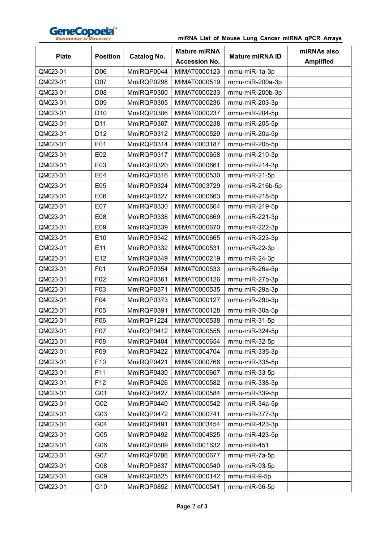

## **miRNA List of Mouse Lung Cancer miRNA qPCR Arrays**

| <b>Plate</b> | <b>Position</b> | <b>Catalog No.</b> | <b>Mature miRNA</b><br><b>Accession No.</b> | <b>Mature miRNA ID</b> | miRNAs also<br><b>Amplified</b> |
|--------------|-----------------|--------------------|---------------------------------------------|------------------------|---------------------------------|
| QM023-01     | D06             | MmiRQP0044         | MIMAT0000123                                | mmu-miR-1a-3p          |                                 |
| QM023-01     | D07             | MmiRQP0298         | MIMAT0000519                                | mmu-miR-200a-3p        |                                 |
| QM023-01     | D08             | MmiRQP0300         | MIMAT0000233                                | mmu-miR-200b-3p        |                                 |
| QM023-01     | D <sub>09</sub> | MmiRQP0305         | MIMAT0000236                                | mmu-miR-203-3p         |                                 |
| QM023-01     | D <sub>10</sub> | MmiRQP0306         | MIMAT0000237                                | mmu-miR-204-5p         |                                 |
| QM023-01     | D11             | MmiRQP0307         | MIMAT0000238                                | mmu-miR-205-5p         |                                 |
| QM023-01     | D12             | MmiRQP0312         | MIMAT0000529                                | mmu-miR-20a-5p         |                                 |
| QM023-01     | E01             | MmiRQP0314         | MIMAT0003187                                | mmu-miR-20b-5p         |                                 |
| QM023-01     | E02             | MmiRQP0317         | MIMAT0000658                                | mmu-miR-210-3p         |                                 |
| QM023-01     | E03             | MmiRQP0320         | MIMAT0000661                                | mmu-miR-214-3p         |                                 |
| QM023-01     | E04             | MmiRQP0316         | MIMAT0000530                                | mmu-miR-21-5p          |                                 |
| QM023-01     | E05             | MmiRQP0324         | MIMAT0003729                                | mmu-miR-216b-5p        |                                 |
| QM023-01     | E06             | MmiRQP0327         | MIMAT0000663                                | mmu-miR-218-5p         |                                 |
| QM023-01     | E07             | MmiRQP0330         | MIMAT0000664                                | mmu-miR-219-5p         |                                 |
| QM023-01     | E08             | MmiRQP0338         | MIMAT0000669                                | mmu-miR-221-3p         |                                 |
| QM023-01     | E09             | MmiRQP0339         | MIMAT0000670                                | mmu-miR-222-3p         |                                 |
| QM023-01     | E10             | MmiRQP0342         | MIMAT0000665                                | mmu-miR-223-3p         |                                 |
| QM023-01     | E11             | MmiRQP0332         | MIMAT0000531                                | mmu-miR-22-3p          |                                 |
| QM023-01     | E12             | MmiRQP0349         | MIMAT0000219                                | mmu-miR-24-3p          |                                 |
| QM023-01     | F01             | MmiRQP0354         | MIMAT0000533                                | mmu-miR-26a-5p         |                                 |
| QM023-01     | F02             | MmiRQP0361         | MIMAT0000126                                | mmu-miR-27b-3p         |                                 |
| QM023-01     | F03             | MmiRQP0371         | MIMAT0000535                                | mmu-miR-29a-3p         |                                 |
| QM023-01     | F04             | MmiRQP0373         | MIMAT0000127                                | mmu-miR-29b-3p         |                                 |
| QM023-01     | F05             | MmiRQP0391         | MIMAT0000128                                | mmu-miR-30a-5p         |                                 |
| QM023-01     | F06             | MmiRQP1224         | MIMAT0000538                                | mmu-miR-31-5p          |                                 |
| QM023-01     | F07             | MmiRQP0412         | MIMAT0000555                                | mmu-miR-324-5p         |                                 |
| QM023-01     | F08             | MmiRQP0404         | MIMAT0000654                                | mmu-miR-32-5p          |                                 |
| QM023-01     | F09             | MmiRQP0422         | MIMAT0004704                                | mmu-miR-335-3p         |                                 |
| QM023-01     | F10             | MmiRQP0421         | MIMAT0000766                                | mmu-miR-335-5p         |                                 |
| QM023-01     | F11             | MmiRQP0430         | MIMAT0000667                                | mmu-miR-33-5p          |                                 |
| QM023-01     | F <sub>12</sub> | MmiRQP0426         | MIMAT0000582                                | mmu-miR-338-3p         |                                 |
| QM023-01     | G01             | MmiRQP0427         | MIMAT0000584                                | mmu-miR-339-5p         |                                 |
| QM023-01     | G02             | MmiRQP0440         | MIMAT0000542                                | mmu-miR-34a-5p         |                                 |
| QM023-01     | G03             | MmiRQP0472         | MIMAT0000741                                | mmu-miR-377-3p         |                                 |
| QM023-01     | G04             | MmiRQP0491         | MIMAT0003454                                | mmu-miR-423-3p         |                                 |
| QM023-01     | G05             | MmiRQP0492         | MIMAT0004825                                | mmu-miR-423-5p         |                                 |
| QM023-01     | G06             | MmiRQP0509         | MIMAT0001632                                | mmu-miR-451            |                                 |
| QM023-01     | G07             | MmiRQP0786         | MIMAT0000677                                | mmu-miR-7a-5p          |                                 |
| QM023-01     | G08             | MmiRQP0837         | MIMAT0000540                                | mmu-miR-93-5p          |                                 |
| QM023-01     | G09             | MmiRQP0825         | MIMAT0000142                                | mmu-miR-9-5p           |                                 |
| QM023-01     | G10             | MmiRQP0852         | MIMAT0000541                                | mmu-miR-96-5p          |                                 |